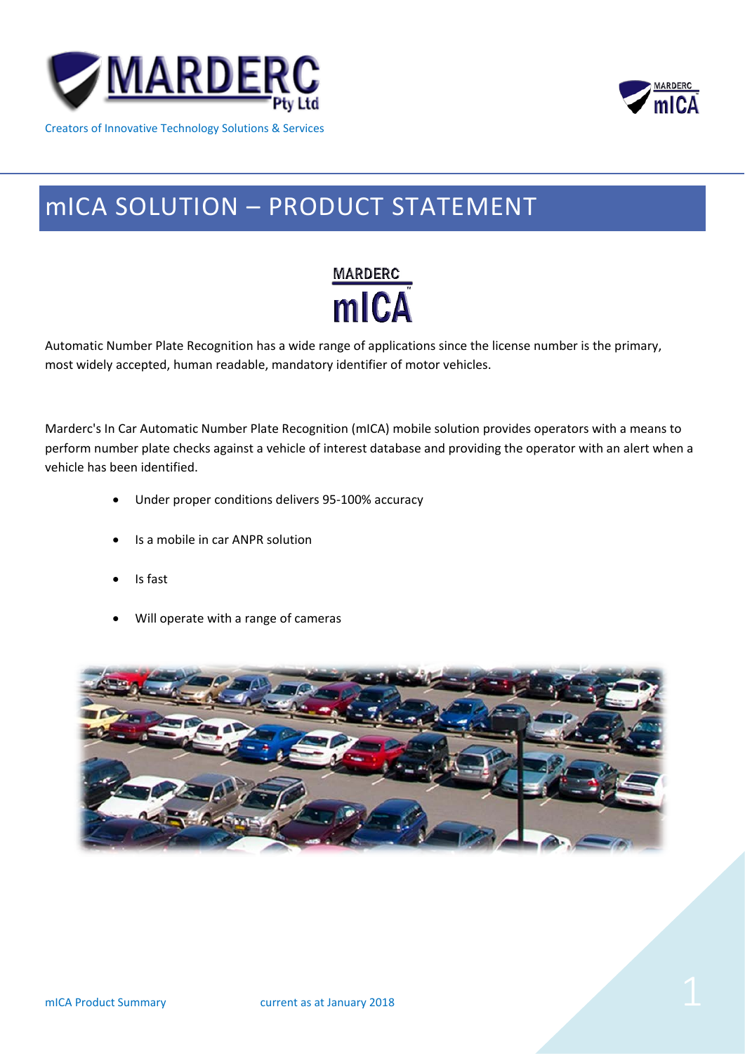

mICA

# Creators of Innovative Technology Solutions & Services

# mICA SOLUTION – PRODUCT STATEMENT



Automatic Number Plate Recognition has a wide range of applications since the license number is the primary, most widely accepted, human readable, mandatory identifier of motor vehicles.

Marderc's In Car Automatic Number Plate Recognition (mICA) mobile solution provides operators with a means to perform number plate checks against a vehicle of interest database and providing the operator with an alert when a vehicle has been identified.

- Under proper conditions delivers 95-100% accuracy
- Is a mobile in car ANPR solution
- Is fast
- Will operate with a range of cameras

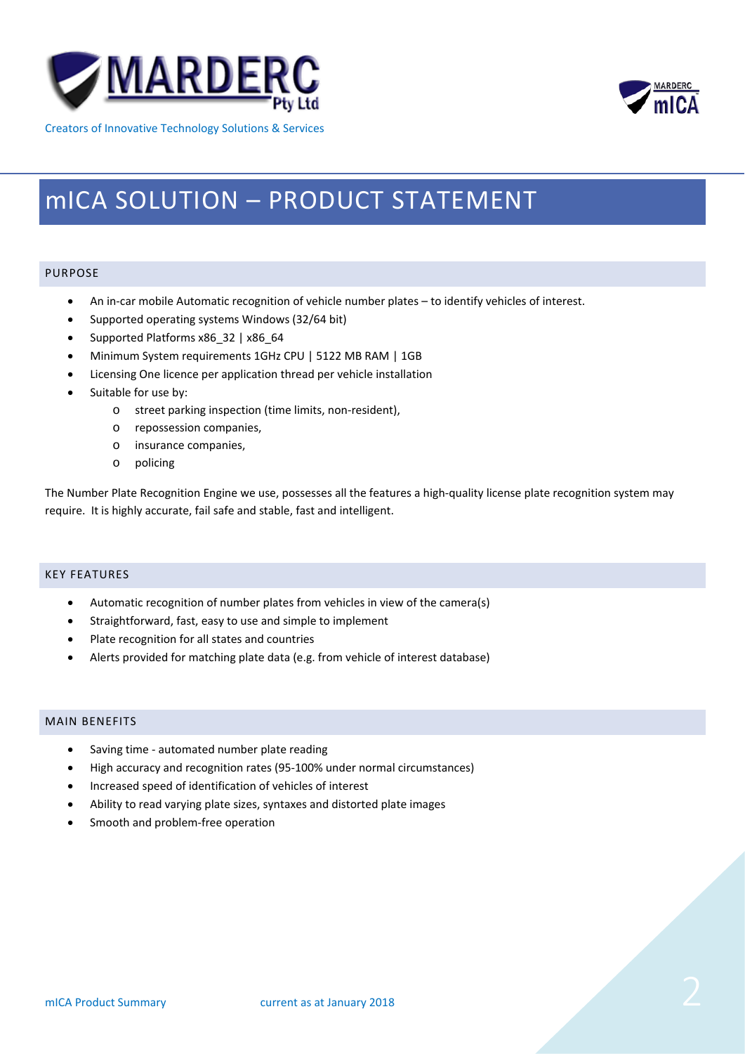



Creators of Innovative Technology Solutions & Services

# mICA SOLUTION – PRODUCT STATEMENT

# PURPOSE

- An in-car mobile Automatic recognition of vehicle number plates to identify vehicles of interest.
- Supported operating systems Windows (32/64 bit)
- Supported Platforms x86\_32 | x86\_64
- Minimum System requirements 1GHz CPU | 5122 MB RAM | 1GB
- Licensing One licence per application thread per vehicle installation
- Suitable for use by:
	- o street parking inspection (time limits, non-resident),
	- o repossession companies,
	- o insurance companies,
	- o policing

The Number Plate Recognition Engine we use, possesses all the features a high-quality license plate recognition system may require. It is highly accurate, fail safe and stable, fast and intelligent.

# KEY FEATURES

- Automatic recognition of number plates from vehicles in view of the camera(s)
- Straightforward, fast, easy to use and simple to implement
- Plate recognition for all states and countries
- Alerts provided for matching plate data (e.g. from vehicle of interest database)

# MAIN BENEFITS

- Saving time automated number plate reading
- High accuracy and recognition rates (95-100% under normal circumstances)
- Increased speed of identification of vehicles of interest
- Ability to read varying plate sizes, syntaxes and distorted plate images
- Smooth and problem-free operation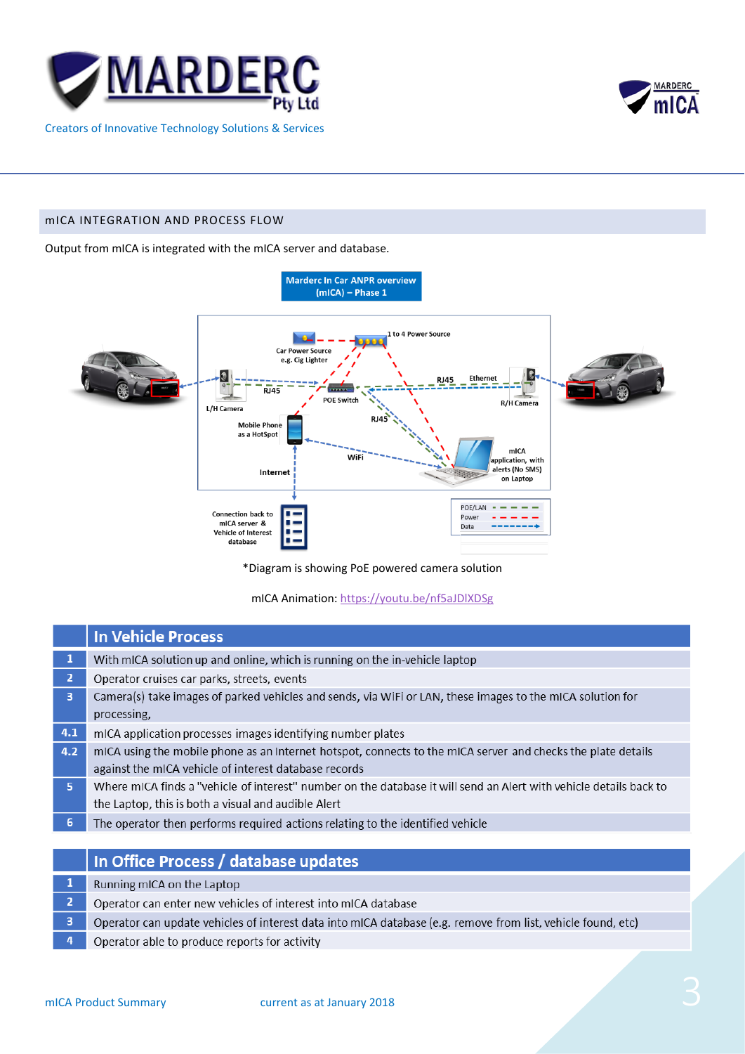



#### mICA INTEGRATION AND PROCESS FLOW

Output from mICA is integrated with the mICA server and database.



\*Diagram is showing PoE powered camera solution

mICA Animation:<https://youtu.be/nf5aJDlXDSg>

|                | <b>In Vehicle Process</b>                                                                                          |
|----------------|--------------------------------------------------------------------------------------------------------------------|
|                | With mICA solution up and online, which is running on the in-vehicle laptop                                        |
| $\overline{2}$ | Operator cruises car parks, streets, events                                                                        |
| $\overline{3}$ | Camera(s) take images of parked vehicles and sends, via WiFi or LAN, these images to the mICA solution for         |
|                | processing,                                                                                                        |
| 4.1            | mICA application processes images identifying number plates                                                        |
| 4.2            | mICA using the mobile phone as an Internet hotspot, connects to the mICA server and checks the plate details       |
|                | against the mICA vehicle of interest database records                                                              |
| 5              | Where mICA finds a "vehicle of interest" number on the database it will send an Alert with vehicle details back to |
|                | the Laptop, this is both a visual and audible Alert                                                                |
| 6 <sub>1</sub> | The operator then performs required actions relating to the identified vehicle                                     |

# In Office Process / database updates

- $\overline{1}$ Running mICA on the Laptop
- $\overline{2}$ Operator can enter new vehicles of interest into mICA database
- $\overline{3}$ Operator can update vehicles of interest data into mICA database (e.g. remove from list, vehicle found, etc)
- $\overline{4}$ Operator able to produce reports for activity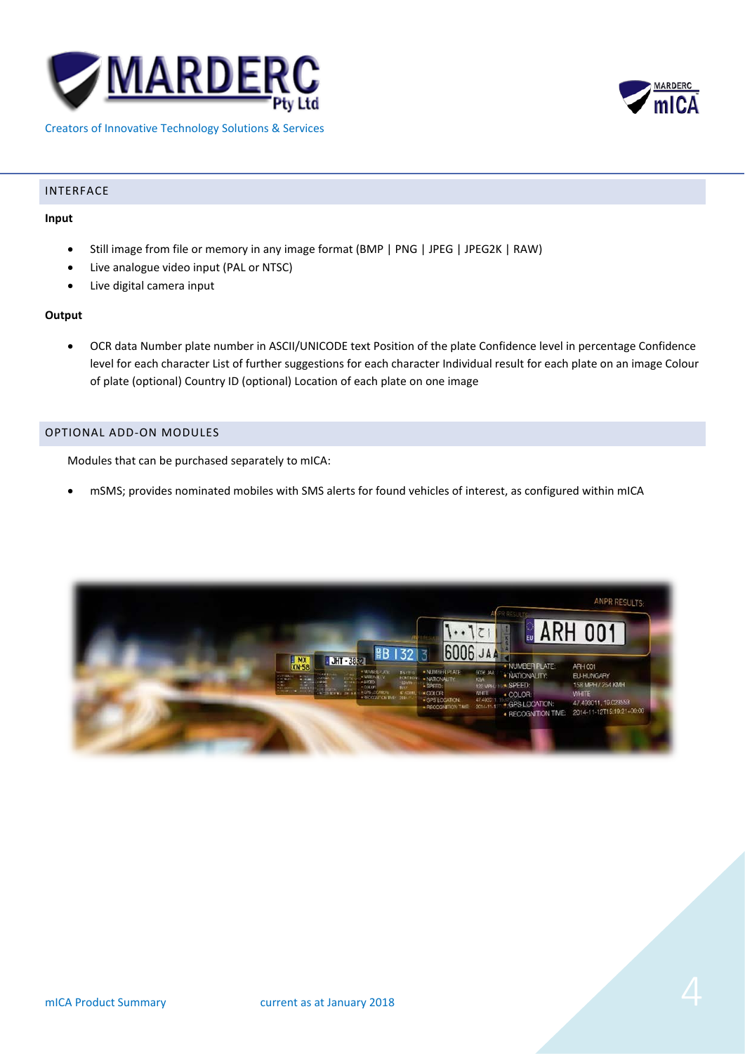



#### Creators of Innovative Technology Solutions & Services

#### INTERFACE

#### **Input**

- Still image from file or memory in any image format (BMP | PNG | JPEG | JPEG2K | RAW)
- Live analogue video input (PAL or NTSC)
- Live digital camera input

#### **Output**

• OCR data Number plate number in ASCII/UNICODE text Position of the plate Confidence level in percentage Confidence level for each character List of further suggestions for each character Individual result for each plate on an image Colour of plate (optional) Country ID (optional) Location of each plate on one image

### OPTIONAL ADD-ON MODULES

Modules that can be purchased separately to mICA:

• mSMS; provides nominated mobiles with SMS alerts for found vehicles of interest, as configured within mICA